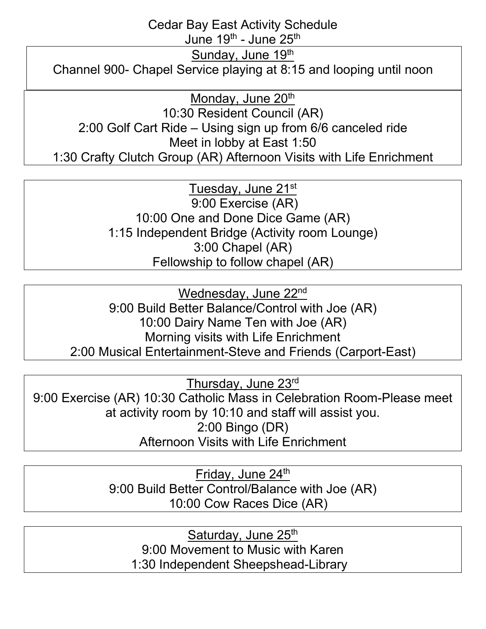Cedar Bay East Activity Schedule

June 19<sup>th</sup> - June 25<sup>th</sup>

Sunday, June 19th

Channel 900- Chapel Service playing at 8:15 and looping until noon

Monday, June 20<sup>th</sup>

10:30 Resident Council (AR) 2:00 Golf Cart Ride – Using sign up from 6/6 canceled ride Meet in lobby at East 1:50 1:30 Crafty Clutch Group (AR) Afternoon Visits with Life Enrichment

> Tuesday, June 21st 9:00 Exercise (AR) 10:00 One and Done Dice Game (AR) 1:15 Independent Bridge (Activity room Lounge) 3:00 Chapel (AR) Fellowship to follow chapel (AR)

Wednesday, June 22<sup>nd</sup> 9:00 Build Better Balance/Control with Joe (AR) 10:00 Dairy Name Ten with Joe (AR) Morning visits with Life Enrichment 2:00 Musical Entertainment-Steve and Friends (Carport-East)

Thursday, June 23rd

9:00 Exercise (AR) 10:30 Catholic Mass in Celebration Room-Please meet at activity room by 10:10 and staff will assist you. 2:00 Bingo (DR) Afternoon Visits with Life Enrichment

> Friday, June 24<sup>th</sup> 9:00 Build Better Control/Balance with Joe (AR) 10:00 Cow Races Dice (AR)

Saturday, June 25<sup>th</sup> 9:00 Movement to Music with Karen 1:30 Independent Sheepshead-Library